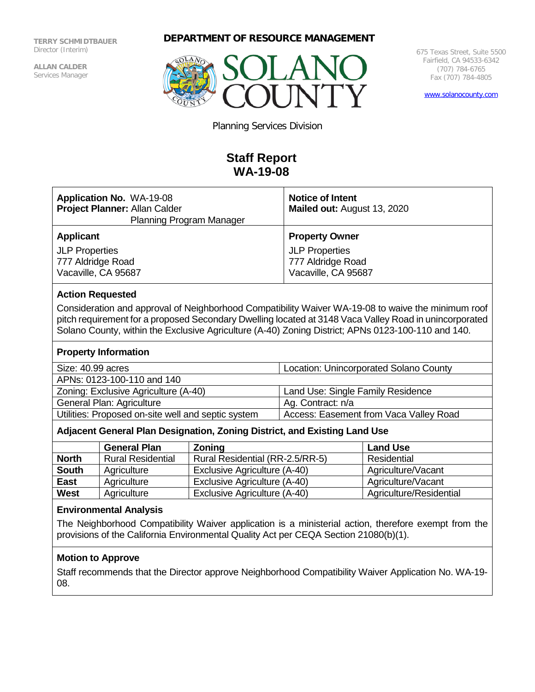**TERRY SCHMIDTBAUER** Director (Interim)

**ALLAN CALDER**  Services Manager **DEPARTMENT OF RESOURCE MANAGEMENT**



675 Texas Street, Suite 5500 Fairfield, CA 94533-6342 (707) 784-6765 Fax (707) 784-4805

[www.solanocounty.com](http://www.solanocounty.com/)

Planning Services Division

# **Staff Report WA-19-08**

| <b>Application No. WA-19-08</b><br>Project Planner: Allan Calder<br><b>Planning Program Manager</b>                                                                                                                                                                                                                |                          |                                 | <b>Notice of Intent</b><br>Mailed out: August 13, 2020 |                         |
|--------------------------------------------------------------------------------------------------------------------------------------------------------------------------------------------------------------------------------------------------------------------------------------------------------------------|--------------------------|---------------------------------|--------------------------------------------------------|-------------------------|
| <b>Applicant</b>                                                                                                                                                                                                                                                                                                   |                          |                                 | <b>Property Owner</b>                                  |                         |
| <b>JLP Properties</b>                                                                                                                                                                                                                                                                                              |                          |                                 | <b>JLP Properties</b>                                  |                         |
| 777 Aldridge Road                                                                                                                                                                                                                                                                                                  |                          |                                 | 777 Aldridge Road                                      |                         |
| Vacaville, CA 95687                                                                                                                                                                                                                                                                                                |                          |                                 | Vacaville, CA 95687                                    |                         |
| <b>Action Requested</b>                                                                                                                                                                                                                                                                                            |                          |                                 |                                                        |                         |
| Consideration and approval of Neighborhood Compatibility Waiver WA-19-08 to waive the minimum roof<br>pitch requirement for a proposed Secondary Dwelling located at 3148 Vaca Valley Road in unincorporated<br>Solano County, within the Exclusive Agriculture (A-40) Zoning District; APNs 0123-100-110 and 140. |                          |                                 |                                                        |                         |
| <b>Property Information</b>                                                                                                                                                                                                                                                                                        |                          |                                 |                                                        |                         |
| Size: 40.99 acres                                                                                                                                                                                                                                                                                                  |                          |                                 | Location: Unincorporated Solano County                 |                         |
| APNs: 0123-100-110 and 140                                                                                                                                                                                                                                                                                         |                          |                                 |                                                        |                         |
| Zoning: Exclusive Agriculture (A-40)                                                                                                                                                                                                                                                                               |                          |                                 | Land Use: Single Family Residence                      |                         |
| General Plan: Agriculture                                                                                                                                                                                                                                                                                          |                          |                                 | Ag. Contract: n/a                                      |                         |
| Utilities: Proposed on-site well and septic system                                                                                                                                                                                                                                                                 |                          |                                 | Access: Easement from Vaca Valley Road                 |                         |
| Adjacent General Plan Designation, Zoning District, and Existing Land Use                                                                                                                                                                                                                                          |                          |                                 |                                                        |                         |
|                                                                                                                                                                                                                                                                                                                    | <b>General Plan</b>      | Zoning                          |                                                        | <b>Land Use</b>         |
| <b>North</b>                                                                                                                                                                                                                                                                                                       | <b>Rural Residential</b> | Rural Residential (RR-2.5/RR-5) |                                                        | Residential             |
| <b>South</b>                                                                                                                                                                                                                                                                                                       | Agriculture              | Exclusive Agriculture (A-40)    |                                                        | Agriculture/Vacant      |
| <b>East</b>                                                                                                                                                                                                                                                                                                        | Agriculture              | Exclusive Agriculture (A-40)    |                                                        | Agriculture/Vacant      |
| <b>West</b>                                                                                                                                                                                                                                                                                                        | Agriculture              | Exclusive Agriculture (A-40)    |                                                        | Agriculture/Residential |

# **Environmental Analysis**

The Neighborhood Compatibility Waiver application is a ministerial action, therefore exempt from the provisions of the California Environmental Quality Act per CEQA Section 21080(b)(1).

## **Motion to Approve**

Staff recommends that the Director approve Neighborhood Compatibility Waiver Application No. WA-19- 08.